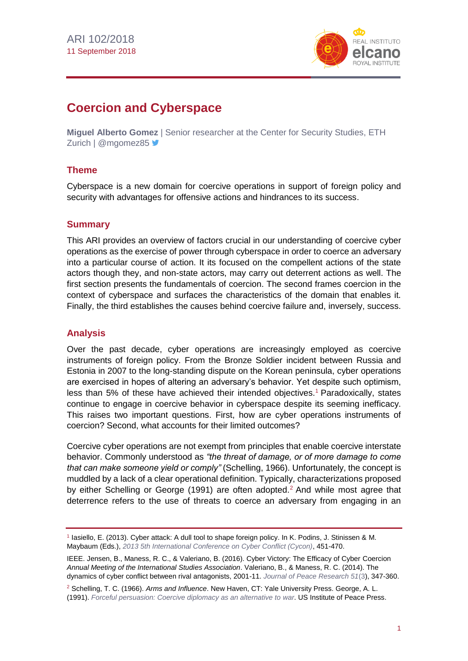

# **Coercion and Cyberspace**

**Miguel Alberto Gomez** | Senior researcher at the Center for Security Studies, ETH Zurich | @mgomez85

# **Theme**

Cyberspace is a new domain for coercive operations in support of foreign policy and security with advantages for offensive actions and hindrances to its success.

### **Summary**

This ARI provides an overview of factors crucial in our understanding of coercive cyber operations as the exercise of power through cyberspace in order to coerce an adversary into a particular course of action. It its focused on the compellent actions of the state actors though they, and non-state actors, may carry out deterrent actions as well. The first section presents the fundamentals of coercion. The second frames coercion in the context of cyberspace and surfaces the characteristics of the domain that enables it. Finally, the third establishes the causes behind coercive failure and, inversely, success.

# **Analysis**

Over the past decade, cyber operations are increasingly employed as coercive instruments of foreign policy. From the Bronze Soldier incident between Russia and Estonia in 2007 to the long-standing dispute on the Korean peninsula, cyber operations are exercised in hopes of altering an adversary's behavior. Yet despite such optimism, less than 5% of these have achieved their intended objectives.<sup>1</sup> Paradoxically, states continue to engage in coercive behavior in cyberspace despite its seeming inefficacy. This raises two important questions. First, how are cyber operations instruments of coercion? Second, what accounts for their limited outcomes?

Coercive cyber operations are not exempt from principles that enable coercive interstate behavior. Commonly understood as *"the threat of damage, or of more damage to come that can make someone yield or comply"* (Schelling, 1966). Unfortunately, the concept is muddled by a lack of a clear operational definition. Typically, characterizations proposed by either Schelling or George (1991) are often adopted.<sup>2</sup> And while most agree that deterrence refers to the use of threats to coerce an adversary from engaging in an

<sup>1</sup> Iasiello, E. (2013). Cyber attack: A dull tool to shape foreign policy. In K. Podins, J. Stinissen & M. Maybaum (Eds.), *[2013 5th International Conference on Cyber Conflict \(Cycon\)](https://ccdcoe.org/multimedia/5th-international-conference-cyber-conflict-proceedings-2013.html)*, 451-470.

IEEE. Jensen, B., Maness, R. C., & Valeriano, B. (2016). Cyber Victory: The Efficacy of Cyber Coercion *Annual Meeting of the International Studies Association*. Valeriano, B., & Maness, R. C. (2014). The dynamics of cyber conflict between rival antagonists, 2001-11. *[Journal of Peace Research 51](https://www.jstor.org/stable/i24557237)*(3), 347-360.

<sup>2</sup> Schelling, T. C. (1966). *Arms and Influence*. New Haven, CT: Yale University Press. George, A. L.

<sup>(1991).</sup> *[Forceful persuasion: Coercive diplomacy as an alternative to](https://www.usip.org/publications/1993/02/forceful-persuasion) war*. US Institute of Peace Press.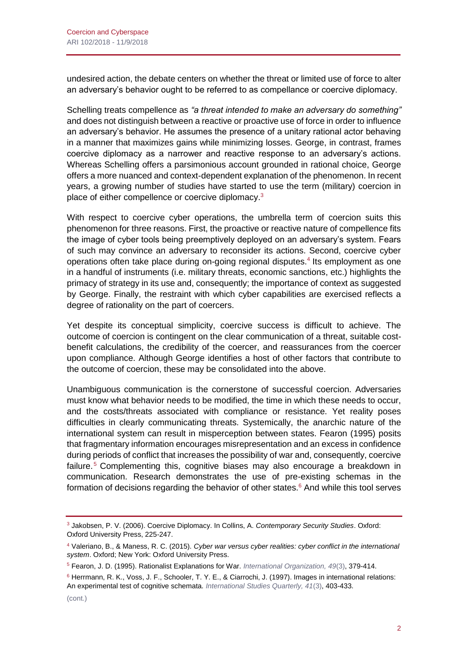undesired action, the debate centers on whether the threat or limited use of force to alter an adversary's behavior ought to be referred to as compellance or coercive diplomacy.

Schelling treats compellence as *"a threat intended to make an adversary do something"* and does not distinguish between a reactive or proactive use of force in order to influence an adversary's behavior. He assumes the presence of a unitary rational actor behaving in a manner that maximizes gains while minimizing losses. George, in contrast, frames coercive diplomacy as a narrower and reactive response to an adversary's actions. Whereas Schelling offers a parsimonious account grounded in rational choice, George offers a more nuanced and context-dependent explanation of the phenomenon. In recent years, a growing number of studies have started to use the term (military) coercion in place of either compellence or coercive diplomacy.<sup>3</sup>

With respect to coercive cyber operations, the umbrella term of coercion suits this phenomenon for three reasons. First, the proactive or reactive nature of compellence fits the image of cyber tools being preemptively deployed on an adversary's system. Fears of such may convince an adversary to reconsider its actions. Second, coercive cyber operations often take place during on-going regional disputes.<sup>4</sup> Its employment as one in a handful of instruments (i.e. military threats, economic sanctions, etc.) highlights the primacy of strategy in its use and, consequently; the importance of context as suggested by George. Finally, the restraint with which cyber capabilities are exercised reflects a degree of rationality on the part of coercers.

Yet despite its conceptual simplicity, coercive success is difficult to achieve. The outcome of coercion is contingent on the clear communication of a threat, suitable costbenefit calculations, the credibility of the coercer, and reassurances from the coercer upon compliance. Although George identifies a host of other factors that contribute to the outcome of coercion, these may be consolidated into the above.

Unambiguous communication is the cornerstone of successful coercion. Adversaries must know what behavior needs to be modified, the time in which these needs to occur, and the costs/threats associated with compliance or resistance. Yet reality poses difficulties in clearly communicating threats. Systemically, the anarchic nature of the international system can result in misperception between states. Fearon (1995) posits that fragmentary information encourages misrepresentation and an excess in confidence during periods of conflict that increases the possibility of war and, consequently, coercive failure.<sup>5</sup> Complementing this, cognitive biases may also encourage a breakdown in communication. Research demonstrates the use of pre-existing schemas in the formation of decisions regarding the behavior of other states. $6$  And while this tool serves

<sup>3</sup> Jakobsen, P. V. (2006). Coercive Diplomacy. In Collins, A. *Contemporary Security Studies*. Oxford: Oxford University Press, 225-247.

<sup>4</sup> Valeriano, B., & Maness, R. C. (2015). *Cyber war versus cyber realities: cyber conflict in the international system*. Oxford; New York: Oxford University Press.

<sup>5</sup> Fearon, J. D. (1995). Rationalist Explanations for War. *[International Organization, 49](https://www.jstor.org/stable/2706903?seq=1#page_scan_tab_contents)*(3), 379-414.

<sup>6</sup> Herrmann, R. K., Voss, J. F., Schooler, T. Y. E., & Ciarrochi, J. (1997). Images in international relations: An experimental test of cognitive schemata. *[International Studies Quarterly, 41](https://academic.oup.com/isq/issue/41/3)*(3), 403-433.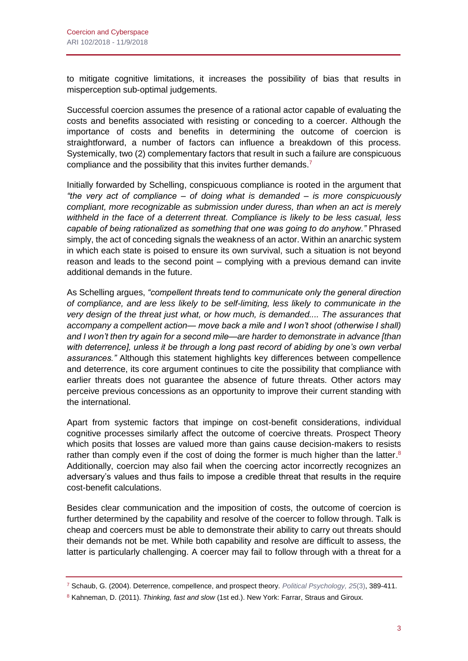to mitigate cognitive limitations, it increases the possibility of bias that results in misperception sub-optimal judgements.

Successful coercion assumes the presence of a rational actor capable of evaluating the costs and benefits associated with resisting or conceding to a coercer. Although the importance of costs and benefits in determining the outcome of coercion is straightforward, a number of factors can influence a breakdown of this process. Systemically, two (2) complementary factors that result in such a failure are conspicuous compliance and the possibility that this invites further demands.<sup>7</sup>

Initially forwarded by Schelling, conspicuous compliance is rooted in the argument that *"the very act of compliance – of doing what is demanded – is more conspicuously compliant, more recognizable as submission under duress, than when an act is merely withheld in the face of a deterrent threat. Compliance is likely to be less casual, less capable of being rationalized as something that one was going to do anyhow."* Phrased simply, the act of conceding signals the weakness of an actor. Within an anarchic system in which each state is poised to ensure its own survival, such a situation is not beyond reason and leads to the second point – complying with a previous demand can invite additional demands in the future.

As Schelling argues, *"compellent threats tend to communicate only the general direction of compliance, and are less likely to be self-limiting, less likely to communicate in the very design of the threat just what, or how much, is demanded.... The assurances that accompany a compellent action— move back a mile and I won't shoot (otherwise I shall) and I won't then try again for a second mile—are harder to demonstrate in advance [than with deterrence], unless it be through a long past record of abiding by one's own verbal assurances."* Although this statement highlights key differences between compellence and deterrence, its core argument continues to cite the possibility that compliance with earlier threats does not guarantee the absence of future threats. Other actors may perceive previous concessions as an opportunity to improve their current standing with the international.

Apart from systemic factors that impinge on cost-benefit considerations, individual cognitive processes similarly affect the outcome of coercive threats. Prospect Theory which posits that losses are valued more than gains cause decision-makers to resists rather than comply even if the cost of doing the former is much higher than the latter.<sup>8</sup> Additionally, coercion may also fail when the coercing actor incorrectly recognizes an adversary's values and thus fails to impose a credible threat that results in the require cost-benefit calculations.

Besides clear communication and the imposition of costs, the outcome of coercion is further determined by the capability and resolve of the coercer to follow through. Talk is cheap and coercers must be able to demonstrate their ability to carry out threats should their demands not be met. While both capability and resolve are difficult to assess, the latter is particularly challenging. A coercer may fail to follow through with a threat for a

<sup>7</sup> Schaub, G. (2004). Deterrence, compellence, and prospect theory. *[Political Psychology, 25](https://onlinelibrary.wiley.com/toc/14679221/25/3)*(3), 389-411.

<sup>8</sup> Kahneman, D. (2011). *Thinking, fast and slow* (1st ed.). New York: Farrar, Straus and Giroux.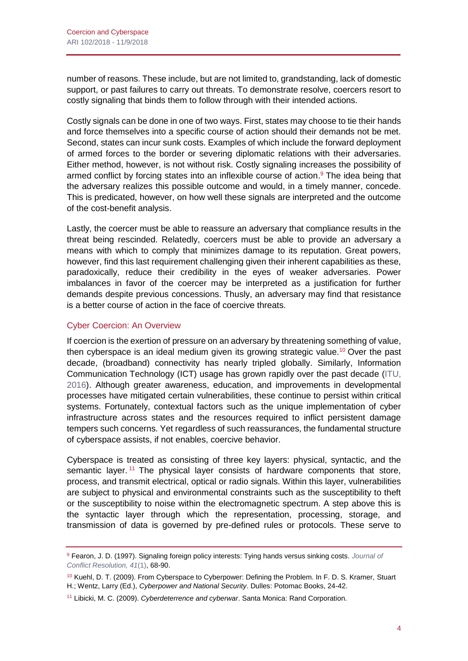number of reasons. These include, but are not limited to, grandstanding, lack of domestic support, or past failures to carry out threats. To demonstrate resolve, coercers resort to costly signaling that binds them to follow through with their intended actions.

Costly signals can be done in one of two ways. First, states may choose to tie their hands and force themselves into a specific course of action should their demands not be met. Second, states can incur sunk costs. Examples of which include the forward deployment of armed forces to the border or severing diplomatic relations with their adversaries. Either method, however, is not without risk. Costly signaling increases the possibility of armed conflict by forcing states into an inflexible course of action.<sup>9</sup> The idea being that the adversary realizes this possible outcome and would, in a timely manner, concede. This is predicated, however, on how well these signals are interpreted and the outcome of the cost-benefit analysis.

Lastly, the coercer must be able to reassure an adversary that compliance results in the threat being rescinded. Relatedly, coercers must be able to provide an adversary a means with which to comply that minimizes damage to its reputation. Great powers, however, find this last requirement challenging given their inherent capabilities as these, paradoxically, reduce their credibility in the eyes of weaker adversaries. Power imbalances in favor of the coercer may be interpreted as a justification for further demands despite previous concessions. Thusly, an adversary may find that resistance is a better course of action in the face of coercive threats.

## Cyber Coercion: An Overview

If coercion is the exertion of pressure on an adversary by threatening something of value, then cyberspace is an ideal medium given its growing strategic value.<sup>10</sup> Over the past decade, (broadband) connectivity has nearly tripled globally. Similarly, Information Communication Technology (ICT) usage has grown rapidly over the past decade [\(ITU,](http://www.itu.int/net4/ITU-D/idi/2017/index.html)  [2016\)](http://www.itu.int/net4/ITU-D/idi/2017/index.html). Although greater awareness, education, and improvements in developmental processes have mitigated certain vulnerabilities, these continue to persist within critical systems. Fortunately, contextual factors such as the unique implementation of cyber infrastructure across states and the resources required to inflict persistent damage tempers such concerns. Yet regardless of such reassurances, the fundamental structure of cyberspace assists, if not enables, coercive behavior.

Cyberspace is treated as consisting of three key layers: physical, syntactic, and the semantic layer.<sup>11</sup> The physical layer consists of hardware components that store, process, and transmit electrical, optical or radio signals. Within this layer, vulnerabilities are subject to physical and environmental constraints such as the susceptibility to theft or the susceptibility to noise within the electromagnetic spectrum. A step above this is the syntactic layer through which the representation, processing, storage, and transmission of data is governed by pre-defined rules or protocols. These serve to

<sup>9</sup> Fearon, J. D. (1997). Signaling foreign policy interests: Tying hands versus sinking costs. *[Journal](http://journals.sagepub.com/toc/jcrb/41/1) of [Conflict Resolution, 41](http://journals.sagepub.com/toc/jcrb/41/1)*(1), 68-90.

<sup>10</sup> Kuehl, D. T. (2009). From Cyberspace to Cyberpower: Defining the Problem. In F. D. S. Kramer, Stuart H.; Wentz, Larry (Ed.), *Cyberpower and National Security*. Dulles: Potomac Books, 24-42.

<sup>11</sup> Libicki, M. C. (2009). *Cyberdeterrence and cyberwar*. Santa Monica: Rand Corporation.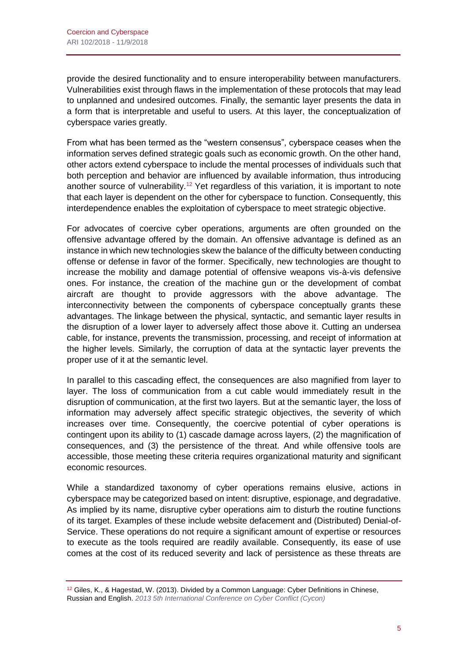provide the desired functionality and to ensure interoperability between manufacturers. Vulnerabilities exist through flaws in the implementation of these protocols that may lead to unplanned and undesired outcomes. Finally, the semantic layer presents the data in a form that is interpretable and useful to users. At this layer, the conceptualization of cyberspace varies greatly.

From what has been termed as the "western consensus", cyberspace ceases when the information serves defined strategic goals such as economic growth. On the other hand, other actors extend cyberspace to include the mental processes of individuals such that both perception and behavior are influenced by available information, thus introducing another source of vulnerability.<sup>12</sup> Yet regardless of this variation, it is important to note that each layer is dependent on the other for cyberspace to function. Consequently, this interdependence enables the exploitation of cyberspace to meet strategic objective.

For advocates of coercive cyber operations, arguments are often grounded on the offensive advantage offered by the domain. An offensive advantage is defined as an instance in which new technologies skew the balance of the difficulty between conducting offense or defense in favor of the former. Specifically, new technologies are thought to increase the mobility and damage potential of offensive weapons vis-à-vis defensive ones. For instance, the creation of the machine gun or the development of combat aircraft are thought to provide aggressors with the above advantage. The interconnectivity between the components of cyberspace conceptually grants these advantages. The linkage between the physical, syntactic, and semantic layer results in the disruption of a lower layer to adversely affect those above it. Cutting an undersea cable, for instance, prevents the transmission, processing, and receipt of information at the higher levels. Similarly, the corruption of data at the syntactic layer prevents the proper use of it at the semantic level.

In parallel to this cascading effect, the consequences are also magnified from layer to layer. The loss of communication from a cut cable would immediately result in the disruption of communication, at the first two layers. But at the semantic layer, the loss of information may adversely affect specific strategic objectives, the severity of which increases over time. Consequently, the coercive potential of cyber operations is contingent upon its ability to (1) cascade damage across layers, (2) the magnification of consequences, and (3) the persistence of the threat. And while offensive tools are accessible, those meeting these criteria requires organizational maturity and significant economic resources.

While a standardized taxonomy of cyber operations remains elusive, actions in cyberspace may be categorized based on intent: disruptive, espionage, and degradative. As implied by its name, disruptive cyber operations aim to disturb the routine functions of its target. Examples of these include website defacement and (Distributed) Denial-of-Service. These operations do not require a significant amount of expertise or resources to execute as the tools required are readily available. Consequently, its ease of use comes at the cost of its reduced severity and lack of persistence as these threats are

<sup>&</sup>lt;sup>12</sup> Giles, K., & Hagestad, W. (2013). Divided by a Common Language: Cyber Definitions in Chinese, Russian and English. *[2013 5th International Conference on Cyber Conflict \(Cycon\)](https://ccdcoe.org/multimedia/5th-international-conference-cyber-conflict-proceedings-2013.html)*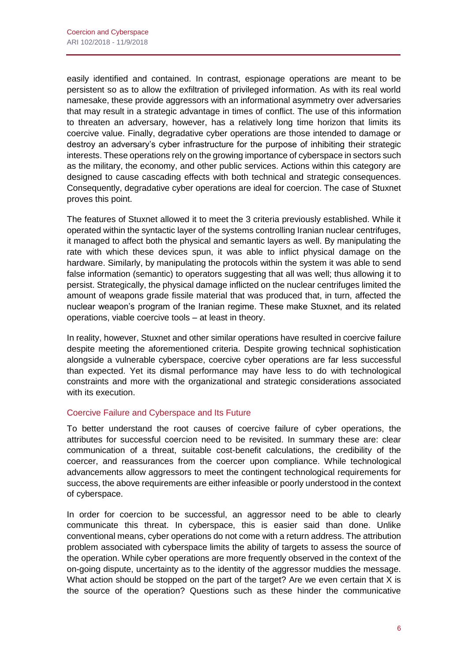easily identified and contained. In contrast, espionage operations are meant to be persistent so as to allow the exfiltration of privileged information. As with its real world namesake, these provide aggressors with an informational asymmetry over adversaries that may result in a strategic advantage in times of conflict. The use of this information to threaten an adversary, however, has a relatively long time horizon that limits its coercive value. Finally, degradative cyber operations are those intended to damage or destroy an adversary's cyber infrastructure for the purpose of inhibiting their strategic interests. These operations rely on the growing importance of cyberspace in sectors such as the military, the economy, and other public services. Actions within this category are designed to cause cascading effects with both technical and strategic consequences. Consequently, degradative cyber operations are ideal for coercion. The case of Stuxnet proves this point.

The features of Stuxnet allowed it to meet the 3 criteria previously established. While it operated within the syntactic layer of the systems controlling Iranian nuclear centrifuges, it managed to affect both the physical and semantic layers as well. By manipulating the rate with which these devices spun, it was able to inflict physical damage on the hardware. Similarly, by manipulating the protocols within the system it was able to send false information (semantic) to operators suggesting that all was well; thus allowing it to persist. Strategically, the physical damage inflicted on the nuclear centrifuges limited the amount of weapons grade fissile material that was produced that, in turn, affected the nuclear weapon's program of the Iranian regime. These make Stuxnet, and its related operations, viable coercive tools – at least in theory.

In reality, however, Stuxnet and other similar operations have resulted in coercive failure despite meeting the aforementioned criteria. Despite growing technical sophistication alongside a vulnerable cyberspace, coercive cyber operations are far less successful than expected. Yet its dismal performance may have less to do with technological constraints and more with the organizational and strategic considerations associated with its execution.

#### Coercive Failure and Cyberspace and Its Future

To better understand the root causes of coercive failure of cyber operations, the attributes for successful coercion need to be revisited. In summary these are: clear communication of a threat, suitable cost-benefit calculations, the credibility of the coercer, and reassurances from the coercer upon compliance. While technological advancements allow aggressors to meet the contingent technological requirements for success, the above requirements are either infeasible or poorly understood in the context of cyberspace.

In order for coercion to be successful, an aggressor need to be able to clearly communicate this threat. In cyberspace, this is easier said than done. Unlike conventional means, cyber operations do not come with a return address. The attribution problem associated with cyberspace limits the ability of targets to assess the source of the operation. While cyber operations are more frequently observed in the context of the on-going dispute, uncertainty as to the identity of the aggressor muddies the message. What action should be stopped on the part of the target? Are we even certain that X is the source of the operation? Questions such as these hinder the communicative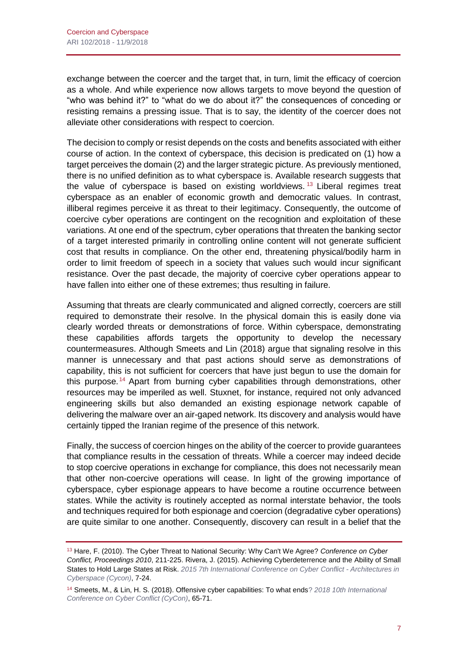exchange between the coercer and the target that, in turn, limit the efficacy of coercion as a whole. And while experience now allows targets to move beyond the question of "who was behind it?" to "what do we do about it?" the consequences of conceding or resisting remains a pressing issue. That is to say, the identity of the coercer does not alleviate other considerations with respect to coercion.

The decision to comply or resist depends on the costs and benefits associated with either course of action. In the context of cyberspace, this decision is predicated on (1) how a target perceives the domain (2) and the larger strategic picture. As previously mentioned, there is no unified definition as to what cyberspace is. Available research suggests that the value of cyberspace is based on existing worldviews.<sup>13</sup> Liberal regimes treat cyberspace as an enabler of economic growth and democratic values. In contrast, illiberal regimes perceive it as threat to their legitimacy. Consequently, the outcome of coercive cyber operations are contingent on the recognition and exploitation of these variations. At one end of the spectrum, cyber operations that threaten the banking sector of a target interested primarily in controlling online content will not generate sufficient cost that results in compliance. On the other end, threatening physical/bodily harm in order to limit freedom of speech in a society that values such would incur significant resistance. Over the past decade, the majority of coercive cyber operations appear to have fallen into either one of these extremes; thus resulting in failure.

Assuming that threats are clearly communicated and aligned correctly, coercers are still required to demonstrate their resolve. In the physical domain this is easily done via clearly worded threats or demonstrations of force. Within cyberspace, demonstrating these capabilities affords targets the opportunity to develop the necessary countermeasures. Although Smeets and Lin (2018) argue that signaling resolve in this manner is unnecessary and that past actions should serve as demonstrations of capability, this is not sufficient for coercers that have just begun to use the domain for this purpose.<sup>14</sup> Apart from burning cyber capabilities through demonstrations, other resources may be imperiled as well. Stuxnet, for instance, required not only advanced engineering skills but also demanded an existing espionage network capable of delivering the malware over an air-gaped network. Its discovery and analysis would have certainly tipped the Iranian regime of the presence of this network.

Finally, the success of coercion hinges on the ability of the coercer to provide guarantees that compliance results in the cessation of threats. While a coercer may indeed decide to stop coercive operations in exchange for compliance, this does not necessarily mean that other non-coercive operations will cease. In light of the growing importance of cyberspace, cyber espionage appears to have become a routine occurrence between states. While the activity is routinely accepted as normal interstate behavior, the tools and techniques required for both espionage and coercion (degradative cyber operations) are quite similar to one another. Consequently, discovery can result in a belief that the

<sup>13</sup> Hare, F. (2010). The Cyber Threat to National Security: Why Can't We Agree? *Conference on Cyber Conflict, Proceedings 2010*, 211-225. Rivera, J. (2015). Achieving Cyberdeterrence and the Ability of Small States to Hold Large States at Risk. *[2015 7th International Conference on Cyber](https://ccdcoe.org/multimedia/5th-international-conference-cyber-conflict-proceedings-2013.html) Conflict - Architectures in [Cyberspace \(Cycon\)](https://ccdcoe.org/multimedia/5th-international-conference-cyber-conflict-proceedings-2013.html)*, 7-24.

<sup>14</sup> Smeets, M., & Lin, H. S. (2018). Offensive cyber capabilities: To what ends? *[2018 10th International](https://ccdcoe.org/sites/default/files/multimedia/pdf/Art%2003%20Offensive%20Cyber%20Capabilities.%20To%20What%20Ends.pdf)  [Conference on Cyber Conflict \(CyCon\)](https://ccdcoe.org/sites/default/files/multimedia/pdf/Art%2003%20Offensive%20Cyber%20Capabilities.%20To%20What%20Ends.pdf)*, 65-71.